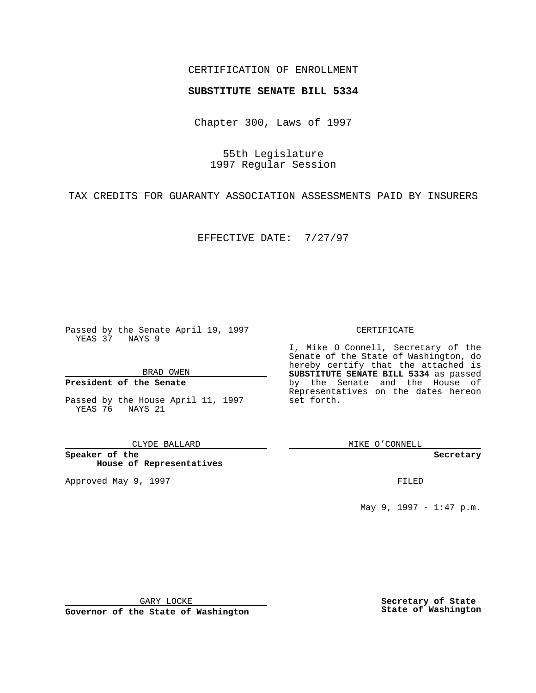## CERTIFICATION OF ENROLLMENT

# **SUBSTITUTE SENATE BILL 5334**

Chapter 300, Laws of 1997

55th Legislature 1997 Regular Session

TAX CREDITS FOR GUARANTY ASSOCIATION ASSESSMENTS PAID BY INSURERS

EFFECTIVE DATE: 7/27/97

Passed by the Senate April 19, 1997 YEAS 37 NAYS 9

BRAD OWEN

### **President of the Senate**

Passed by the House April 11, 1997 YEAS 76 NAYS 21

CLYDE BALLARD

**Speaker of the House of Representatives**

Approved May 9, 1997 **FILED** 

#### CERTIFICATE

I, Mike O Connell, Secretary of the Senate of the State of Washington, do hereby certify that the attached is **SUBSTITUTE SENATE BILL 5334** as passed by the Senate and the House of Representatives on the dates hereon set forth.

MIKE O'CONNELL

#### **Secretary**

May 9, 1997 - 1:47 p.m.

GARY LOCKE

**Governor of the State of Washington**

**Secretary of State State of Washington**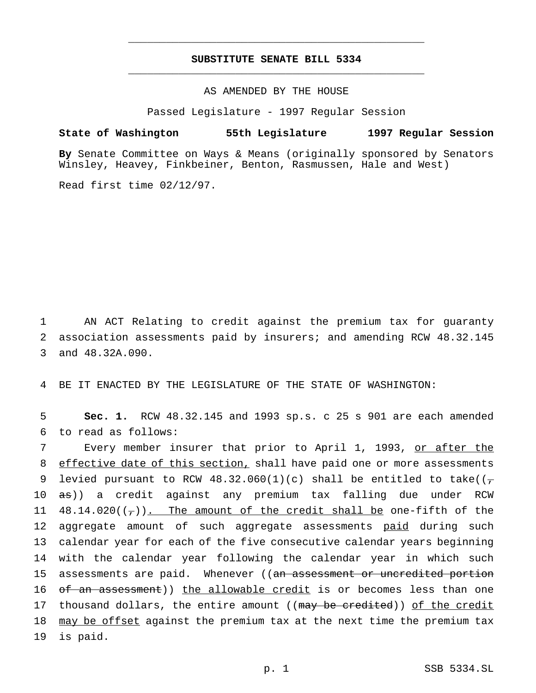# **SUBSTITUTE SENATE BILL 5334** \_\_\_\_\_\_\_\_\_\_\_\_\_\_\_\_\_\_\_\_\_\_\_\_\_\_\_\_\_\_\_\_\_\_\_\_\_\_\_\_\_\_\_\_\_\_\_

\_\_\_\_\_\_\_\_\_\_\_\_\_\_\_\_\_\_\_\_\_\_\_\_\_\_\_\_\_\_\_\_\_\_\_\_\_\_\_\_\_\_\_\_\_\_\_

AS AMENDED BY THE HOUSE

Passed Legislature - 1997 Regular Session

**State of Washington 55th Legislature 1997 Regular Session**

**By** Senate Committee on Ways & Means (originally sponsored by Senators Winsley, Heavey, Finkbeiner, Benton, Rasmussen, Hale and West)

Read first time 02/12/97.

1 AN ACT Relating to credit against the premium tax for guaranty 2 association assessments paid by insurers; and amending RCW 48.32.145 3 and 48.32A.090.

4 BE IT ENACTED BY THE LEGISLATURE OF THE STATE OF WASHINGTON:

5 **Sec. 1.** RCW 48.32.145 and 1993 sp.s. c 25 s 901 are each amended 6 to read as follows:

7 Every member insurer that prior to April 1, 1993, or after the 8 effective date of this section, shall have paid one or more assessments 9 levied pursuant to RCW 48.32.060(1)(c) shall be entitled to take( $(\tau$ 10 <del>as</del>)) a credit against any premium tax falling due under RCW 11  $48.14.020((-))$ . The amount of the credit shall be one-fifth of the 12 aggregate amount of such aggregate assessments paid during such 13 calendar year for each of the five consecutive calendar years beginning 14 with the calendar year following the calendar year in which such 15 assessments are paid. Whenever ((an assessment or uncredited portion 16 of an assessment)) the allowable credit is or becomes less than one 17 thousand dollars, the entire amount ((may be credited)) of the credit 18 may be offset against the premium tax at the next time the premium tax 19 is paid.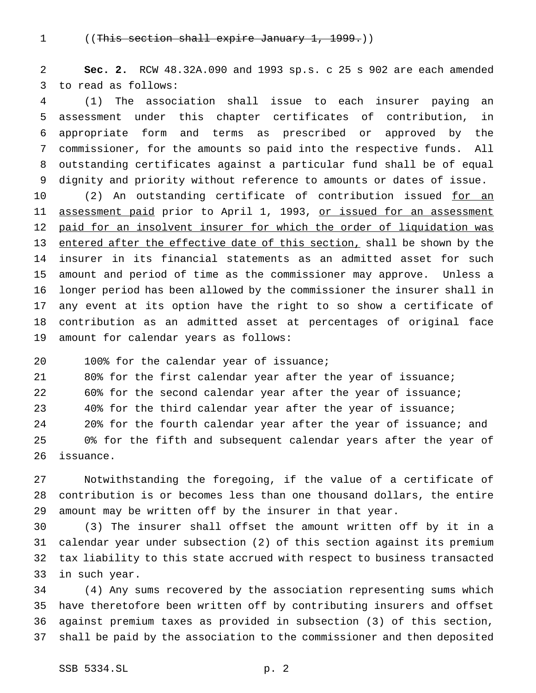((This section shall expire January 1, 1999.))

 **Sec. 2.** RCW 48.32A.090 and 1993 sp.s. c 25 s 902 are each amended to read as follows:

 (1) The association shall issue to each insurer paying an assessment under this chapter certificates of contribution, in appropriate form and terms as prescribed or approved by the commissioner, for the amounts so paid into the respective funds. All outstanding certificates against a particular fund shall be of equal dignity and priority without reference to amounts or dates of issue.

10 (2) An outstanding certificate of contribution issued <u>for an</u> 11 assessment paid prior to April 1, 1993, or issued for an assessment paid for an insolvent insurer for which the order of liquidation was 13 entered after the effective date of this section, shall be shown by the insurer in its financial statements as an admitted asset for such amount and period of time as the commissioner may approve. Unless a longer period has been allowed by the commissioner the insurer shall in any event at its option have the right to so show a certificate of contribution as an admitted asset at percentages of original face amount for calendar years as follows:

100% for the calendar year of issuance;

 80% for the first calendar year after the year of issuance; 60% for the second calendar year after the year of issuance; 40% for the third calendar year after the year of issuance; 20% for the fourth calendar year after the year of issuance; and 0% for the fifth and subsequent calendar years after the year of issuance.

 Notwithstanding the foregoing, if the value of a certificate of contribution is or becomes less than one thousand dollars, the entire amount may be written off by the insurer in that year.

 (3) The insurer shall offset the amount written off by it in a calendar year under subsection (2) of this section against its premium tax liability to this state accrued with respect to business transacted in such year.

 (4) Any sums recovered by the association representing sums which have theretofore been written off by contributing insurers and offset against premium taxes as provided in subsection (3) of this section, shall be paid by the association to the commissioner and then deposited